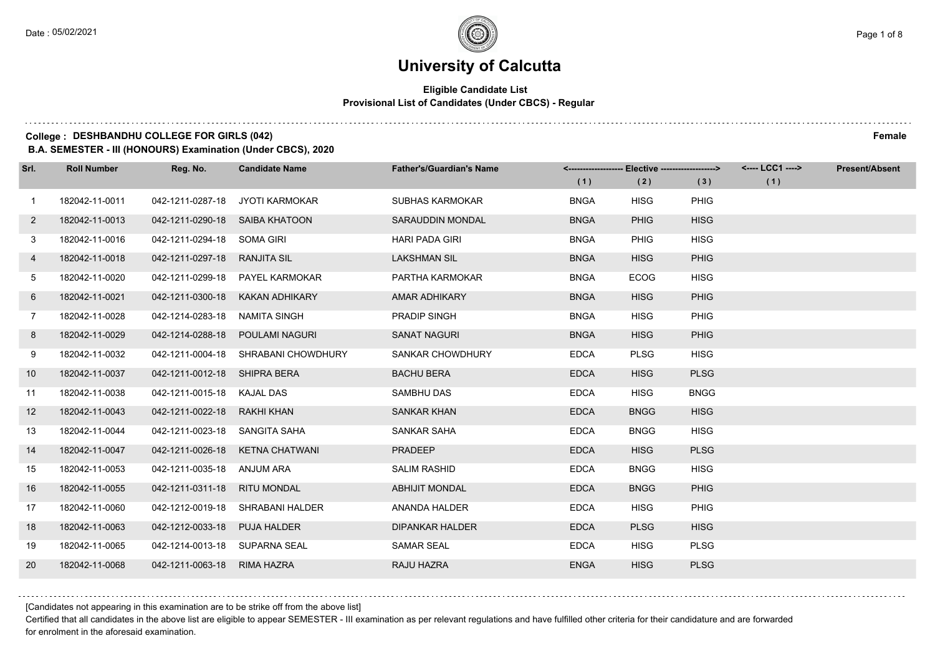$1.111$ 

# **University of Calcutta**

#### **Eligible Candidate List Provisional List of Candidates (Under CBCS) - Regular**

### **College : DESHBANDHU COLLEGE FOR GIRLS (042) Female**

**B.A. SEMESTER - III (HONOURS) Examination (Under CBCS), 2020**

| Srl.           | <b>Roll Number</b> | Reg. No.                       | <b>Candidate Name</b>           | <b>Father's/Guardian's Name</b> |             | <-------------------- Elective -------------------> |             | <---- LCC1 ----> | <b>Present/Absent</b> |
|----------------|--------------------|--------------------------------|---------------------------------|---------------------------------|-------------|-----------------------------------------------------|-------------|------------------|-----------------------|
|                |                    |                                |                                 |                                 | (1)         | (2)                                                 | (3)         | (1)              |                       |
| $\overline{1}$ | 182042-11-0011     | 042-1211-0287-18               | JYOTI KARMOKAR                  | <b>SUBHAS KARMOKAR</b>          | <b>BNGA</b> | <b>HISG</b>                                         | PHIG        |                  |                       |
| $\mathbf{2}$   | 182042-11-0013     | 042-1211-0290-18 SAIBA KHATOON |                                 | SARAUDDIN MONDAL                | <b>BNGA</b> | <b>PHIG</b>                                         | <b>HISG</b> |                  |                       |
| 3              | 182042-11-0016     | 042-1211-0294-18 SOMA GIRI     |                                 | <b>HARI PADA GIRI</b>           | <b>BNGA</b> | <b>PHIG</b>                                         | <b>HISG</b> |                  |                       |
| 4              | 182042-11-0018     | 042-1211-0297-18               | <b>RANJITA SIL</b>              | <b>LAKSHMAN SIL</b>             | <b>BNGA</b> | <b>HISG</b>                                         | <b>PHIG</b> |                  |                       |
| 5              | 182042-11-0020     |                                | 042-1211-0299-18 PAYEL KARMOKAR | PARTHA KARMOKAR                 | <b>BNGA</b> | <b>ECOG</b>                                         | <b>HISG</b> |                  |                       |
| 6              | 182042-11-0021     | 042-1211-0300-18               | KAKAN ADHIKARY                  | AMAR ADHIKARY                   | <b>BNGA</b> | <b>HISG</b>                                         | <b>PHIG</b> |                  |                       |
| 7              | 182042-11-0028     | 042-1214-0283-18 NAMITA SINGH  |                                 | <b>PRADIP SINGH</b>             | <b>BNGA</b> | <b>HISG</b>                                         | PHIG        |                  |                       |
| 8              | 182042-11-0029     | 042-1214-0288-18               | POULAMI NAGURI                  | <b>SANAT NAGURI</b>             | <b>BNGA</b> | <b>HISG</b>                                         | PHIG        |                  |                       |
| 9              | 182042-11-0032     | 042-1211-0004-18               | SHRABANI CHOWDHURY              | <b>SANKAR CHOWDHURY</b>         | <b>EDCA</b> | <b>PLSG</b>                                         | <b>HISG</b> |                  |                       |
| 10             | 182042-11-0037     | 042-1211-0012-18 SHIPRA BERA   |                                 | <b>BACHU BERA</b>               | <b>EDCA</b> | <b>HISG</b>                                         | <b>PLSG</b> |                  |                       |
| 11             | 182042-11-0038     | 042-1211-0015-18 KAJAL DAS     |                                 | <b>SAMBHU DAS</b>               | <b>EDCA</b> | <b>HISG</b>                                         | <b>BNGG</b> |                  |                       |
| 12             | 182042-11-0043     | 042-1211-0022-18               | RAKHI KHAN                      | <b>SANKAR KHAN</b>              | <b>EDCA</b> | <b>BNGG</b>                                         | <b>HISG</b> |                  |                       |
| 13             | 182042-11-0044     | 042-1211-0023-18               | SANGITA SAHA                    | <b>SANKAR SAHA</b>              | <b>EDCA</b> | <b>BNGG</b>                                         | <b>HISG</b> |                  |                       |
| 14             | 182042-11-0047     |                                | 042-1211-0026-18 KETNA CHATWANI | <b>PRADEEP</b>                  | <b>EDCA</b> | <b>HISG</b>                                         | <b>PLSG</b> |                  |                       |
| 15             | 182042-11-0053     | 042-1211-0035-18 ANJUM ARA     |                                 | <b>SALIM RASHID</b>             | <b>EDCA</b> | <b>BNGG</b>                                         | <b>HISG</b> |                  |                       |
| 16             | 182042-11-0055     | 042-1211-0311-18               | <b>RITU MONDAL</b>              | <b>ABHIJIT MONDAL</b>           | <b>EDCA</b> | <b>BNGG</b>                                         | <b>PHIG</b> |                  |                       |
| 17             | 182042-11-0060     | 042-1212-0019-18               | SHRABANI HALDER                 | ANANDA HALDER                   | <b>EDCA</b> | <b>HISG</b>                                         | PHIG        |                  |                       |
| 18             | 182042-11-0063     | 042-1212-0033-18               | <b>PUJA HALDER</b>              | <b>DIPANKAR HALDER</b>          | <b>EDCA</b> | <b>PLSG</b>                                         | <b>HISG</b> |                  |                       |
| 19             | 182042-11-0065     | 042-1214-0013-18 SUPARNA SEAL  |                                 | <b>SAMAR SEAL</b>               | <b>EDCA</b> | <b>HISG</b>                                         | <b>PLSG</b> |                  |                       |
| 20             | 182042-11-0068     | 042-1211-0063-18               | <b>RIMA HAZRA</b>               | RAJU HAZRA                      | <b>ENGA</b> | <b>HISG</b>                                         | <b>PLSG</b> |                  |                       |

[Candidates not appearing in this examination are to be strike off from the above list]

Certified that all candidates in the above list are eligible to appear SEMESTER - III examination as per relevant regulations and have fulfilled other criteria for their candidature and are forwarded for enrolment in the aforesaid examination.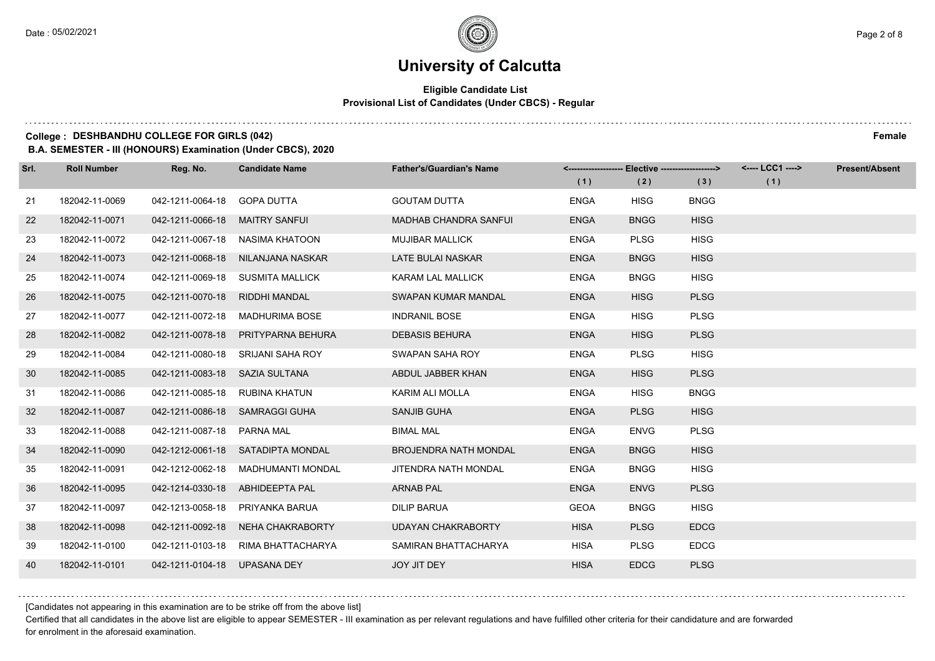#### **Eligible Candidate List Provisional List of Candidates (Under CBCS) - Regular**

### **College : DESHBANDHU COLLEGE FOR GIRLS (042) Female**

**B.A. SEMESTER - III (HONOURS) Examination (Under CBCS), 2020**

| Srl. | <b>Roll Number</b> | Reg. No.                       | <b>Candidate Name</b>              | <b>Father's/Guardian's Name</b> |             | <-------------------- Elective ------------------> |             | <---- LCC1 ----> | <b>Present/Absent</b> |
|------|--------------------|--------------------------------|------------------------------------|---------------------------------|-------------|----------------------------------------------------|-------------|------------------|-----------------------|
|      |                    |                                |                                    |                                 | (1)         | (2)                                                | (3)         | (1)              |                       |
| 21   | 182042-11-0069     | 042-1211-0064-18               | GOPA DUTTA                         | <b>GOUTAM DUTTA</b>             | <b>ENGA</b> | <b>HISG</b>                                        | <b>BNGG</b> |                  |                       |
| 22   | 182042-11-0071     | 042-1211-0066-18               | <b>MAITRY SANFUI</b>               | <b>MADHAB CHANDRA SANFUL</b>    | <b>ENGA</b> | <b>BNGG</b>                                        | <b>HISG</b> |                  |                       |
| 23   | 182042-11-0072     |                                | 042-1211-0067-18 NASIMA KHATOON    | <b>MUJIBAR MALLICK</b>          | <b>ENGA</b> | <b>PLSG</b>                                        | <b>HISG</b> |                  |                       |
| 24   | 182042-11-0073     |                                | 042-1211-0068-18 NILANJANA NASKAR  | LATE BULAI NASKAR               | <b>ENGA</b> | <b>BNGG</b>                                        | <b>HISG</b> |                  |                       |
| 25   | 182042-11-0074     | 042-1211-0069-18               | <b>SUSMITA MALLICK</b>             | <b>KARAM LAL MALLICK</b>        | <b>ENGA</b> | <b>BNGG</b>                                        | <b>HISG</b> |                  |                       |
| 26   | 182042-11-0075     | 042-1211-0070-18               | RIDDHI MANDAL                      | <b>SWAPAN KUMAR MANDAL</b>      | <b>ENGA</b> | <b>HISG</b>                                        | <b>PLSG</b> |                  |                       |
| 27   | 182042-11-0077     |                                | 042-1211-0072-18 MADHURIMA BOSE    | <b>INDRANIL BOSE</b>            | <b>ENGA</b> | <b>HISG</b>                                        | <b>PLSG</b> |                  |                       |
| 28   | 182042-11-0082     |                                | 042-1211-0078-18 PRITYPARNA BEHURA | <b>DEBASIS BEHURA</b>           | <b>ENGA</b> | <b>HISG</b>                                        | <b>PLSG</b> |                  |                       |
| 29   | 182042-11-0084     | 042-1211-0080-18               | SRIJANI SAHA ROY                   | SWAPAN SAHA ROY                 | <b>ENGA</b> | <b>PLSG</b>                                        | <b>HISG</b> |                  |                       |
| 30   | 182042-11-0085     | 042-1211-0083-18 SAZIA SULTANA |                                    | ABDUL JABBER KHAN               | <b>ENGA</b> | <b>HISG</b>                                        | <b>PLSG</b> |                  |                       |
| 31   | 182042-11-0086     | 042-1211-0085-18 RUBINA KHATUN |                                    | KARIM ALI MOLLA                 | <b>ENGA</b> | <b>HISG</b>                                        | <b>BNGG</b> |                  |                       |
| 32   | 182042-11-0087     |                                | 042-1211-0086-18 SAMRAGGI GUHA     | SANJIB GUHA                     | <b>ENGA</b> | <b>PLSG</b>                                        | <b>HISG</b> |                  |                       |
| 33   | 182042-11-0088     | 042-1211-0087-18               | <b>PARNA MAL</b>                   | <b>BIMAL MAL</b>                | <b>ENGA</b> | <b>ENVG</b>                                        | <b>PLSG</b> |                  |                       |
| 34   | 182042-11-0090     |                                | 042-1212-0061-18 SATADIPTA MONDAL  | <b>BROJENDRA NATH MONDAL</b>    | <b>ENGA</b> | <b>BNGG</b>                                        | <b>HISG</b> |                  |                       |
| 35   | 182042-11-0091     | 042-1212-0062-18               | MADHUMANTI MONDAL                  | JITENDRA NATH MONDAL            | <b>ENGA</b> | <b>BNGG</b>                                        | <b>HISG</b> |                  |                       |
| 36   | 182042-11-0095     |                                | 042-1214-0330-18 ABHIDEEPTA PAL    | <b>ARNAB PAL</b>                | <b>ENGA</b> | <b>ENVG</b>                                        | <b>PLSG</b> |                  |                       |
| 37   | 182042-11-0097     | 042-1213-0058-18               | PRIYANKA BARUA                     | <b>DILIP BARUA</b>              | <b>GEOA</b> | <b>BNGG</b>                                        | <b>HISG</b> |                  |                       |
| 38   | 182042-11-0098     | 042-1211-0092-18               | NEHA CHAKRABORTY                   | <b>UDAYAN CHAKRABORTY</b>       | <b>HISA</b> | <b>PLSG</b>                                        | <b>EDCG</b> |                  |                       |
| 39   | 182042-11-0100     | 042-1211-0103-18               | RIMA BHATTACHARYA                  | SAMIRAN BHATTACHARYA            | <b>HISA</b> | <b>PLSG</b>                                        | <b>EDCG</b> |                  |                       |
| 40   | 182042-11-0101     | 042-1211-0104-18 UPASANA DEY   |                                    | JOY JIT DEY                     | <b>HISA</b> | <b>EDCG</b>                                        | <b>PLSG</b> |                  |                       |

[Candidates not appearing in this examination are to be strike off from the above list]

Certified that all candidates in the above list are eligible to appear SEMESTER - III examination as per relevant regulations and have fulfilled other criteria for their candidature and are forwarded for enrolment in the aforesaid examination.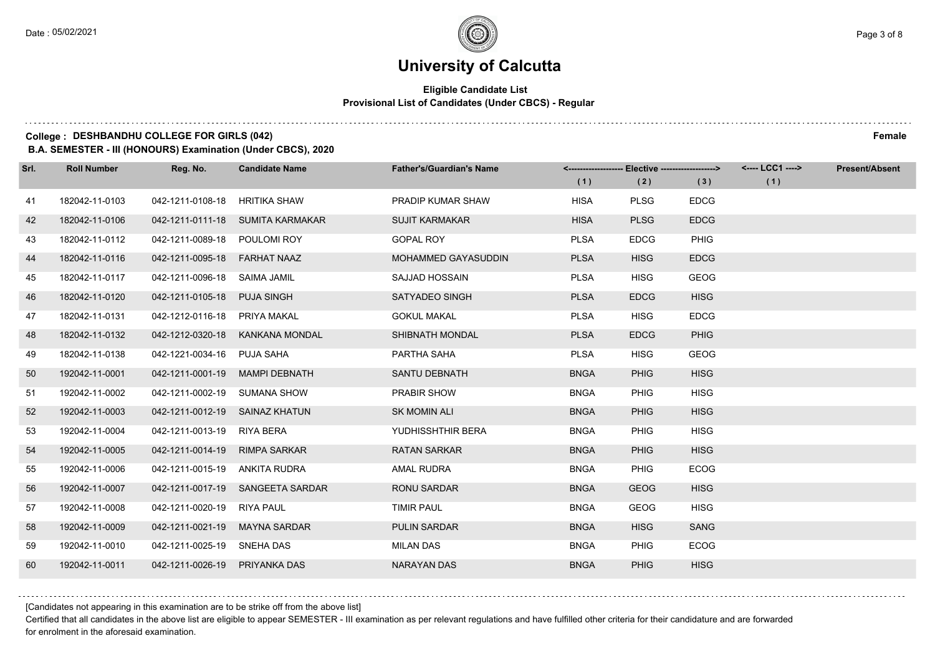#### **Eligible Candidate List Provisional List of Candidates (Under CBCS) - Regular**

### **College : DESHBANDHU COLLEGE FOR GIRLS (042) Female**

**B.A. SEMESTER - III (HONOURS) Examination (Under CBCS), 2020**

| Srl. | <b>Roll Number</b> | Reg. No.                       | <b>Candidate Name</b>            | <b>Father's/Guardian's Name</b> |             | <------------------- Elective ------------------> |             | <---- LCC1 ----> | <b>Present/Absent</b> |
|------|--------------------|--------------------------------|----------------------------------|---------------------------------|-------------|---------------------------------------------------|-------------|------------------|-----------------------|
|      |                    |                                |                                  |                                 | (1)         | (2)                                               | (3)         | (1)              |                       |
| 41   | 182042-11-0103     | 042-1211-0108-18               | HRITIKA SHAW                     | <b>PRADIP KUMAR SHAW</b>        | <b>HISA</b> | <b>PLSG</b>                                       | <b>EDCG</b> |                  |                       |
| 42   | 182042-11-0106     |                                | 042-1211-0111-18 SUMITA KARMAKAR | <b>SUJIT KARMAKAR</b>           | <b>HISA</b> | <b>PLSG</b>                                       | <b>EDCG</b> |                  |                       |
| 43   | 182042-11-0112     | 042-1211-0089-18 POULOMI ROY   |                                  | <b>GOPAL ROY</b>                | <b>PLSA</b> | <b>EDCG</b>                                       | PHIG        |                  |                       |
| 44   | 182042-11-0116     | 042-1211-0095-18 FARHAT NAAZ   |                                  | MOHAMMED GAYASUDDIN             | <b>PLSA</b> | <b>HISG</b>                                       | <b>EDCG</b> |                  |                       |
| 45   | 182042-11-0117     | 042-1211-0096-18 SAIMA JAMIL   |                                  | <b>SAJJAD HOSSAIN</b>           | <b>PLSA</b> | <b>HISG</b>                                       | GEOG        |                  |                       |
| 46   | 182042-11-0120     | 042-1211-0105-18               | <b>PUJA SINGH</b>                | SATYADEO SINGH                  | <b>PLSA</b> | <b>EDCG</b>                                       | <b>HISG</b> |                  |                       |
| 47   | 182042-11-0131     | 042-1212-0116-18 PRIYA MAKAL   |                                  | <b>GOKUL MAKAL</b>              | <b>PLSA</b> | <b>HISG</b>                                       | <b>EDCG</b> |                  |                       |
| 48   | 182042-11-0132     |                                | 042-1212-0320-18 KANKANA MONDAL  | SHIBNATH MONDAL                 | <b>PLSA</b> | <b>EDCG</b>                                       | PHIG        |                  |                       |
| 49   | 182042-11-0138     | 042-1221-0034-16 PUJA SAHA     |                                  | PARTHA SAHA                     | <b>PLSA</b> | <b>HISG</b>                                       | <b>GEOG</b> |                  |                       |
| 50   | 192042-11-0001     | 042-1211-0001-19 MAMPI DEBNATH |                                  | <b>SANTU DEBNATH</b>            | <b>BNGA</b> | <b>PHIG</b>                                       | <b>HISG</b> |                  |                       |
| 51   | 192042-11-0002     | 042-1211-0002-19 SUMANA SHOW   |                                  | PRABIR SHOW                     | <b>BNGA</b> | PHIG                                              | <b>HISG</b> |                  |                       |
| 52   | 192042-11-0003     | 042-1211-0012-19 SAINAZ KHATUN |                                  | <b>SK MOMIN ALI</b>             | <b>BNGA</b> | <b>PHIG</b>                                       | <b>HISG</b> |                  |                       |
| 53   | 192042-11-0004     | 042-1211-0013-19 RIYA BERA     |                                  | YUDHISSHTHIR BERA               | <b>BNGA</b> | <b>PHIG</b>                                       | <b>HISG</b> |                  |                       |
| 54   | 192042-11-0005     | 042-1211-0014-19 RIMPA SARKAR  |                                  | <b>RATAN SARKAR</b>             | <b>BNGA</b> | <b>PHIG</b>                                       | <b>HISG</b> |                  |                       |
| 55   | 192042-11-0006     | 042-1211-0015-19 ANKITA RUDRA  |                                  | AMAL RUDRA                      | <b>BNGA</b> | <b>PHIG</b>                                       | <b>ECOG</b> |                  |                       |
| 56   | 192042-11-0007     |                                | 042-1211-0017-19 SANGEETA SARDAR | <b>RONU SARDAR</b>              | <b>BNGA</b> | <b>GEOG</b>                                       | <b>HISG</b> |                  |                       |
| 57   | 192042-11-0008     | 042-1211-0020-19               | <b>RIYA PAUL</b>                 | <b>TIMIR PAUL</b>               | <b>BNGA</b> | <b>GEOG</b>                                       | <b>HISG</b> |                  |                       |
| 58   | 192042-11-0009     | 042-1211-0021-19 MAYNA SARDAR  |                                  | <b>PULIN SARDAR</b>             | <b>BNGA</b> | <b>HISG</b>                                       | <b>SANG</b> |                  |                       |
| 59   | 192042-11-0010     | 042-1211-0025-19 SNEHA DAS     |                                  | <b>MILAN DAS</b>                | <b>BNGA</b> | PHIG                                              | <b>ECOG</b> |                  |                       |
| 60   | 192042-11-0011     | 042-1211-0026-19 PRIYANKA DAS  |                                  | <b>NARAYAN DAS</b>              | <b>BNGA</b> | <b>PHIG</b>                                       | <b>HISG</b> |                  |                       |

[Candidates not appearing in this examination are to be strike off from the above list]

Certified that all candidates in the above list are eligible to appear SEMESTER - III examination as per relevant regulations and have fulfilled other criteria for their candidature and are forwarded for enrolment in the aforesaid examination.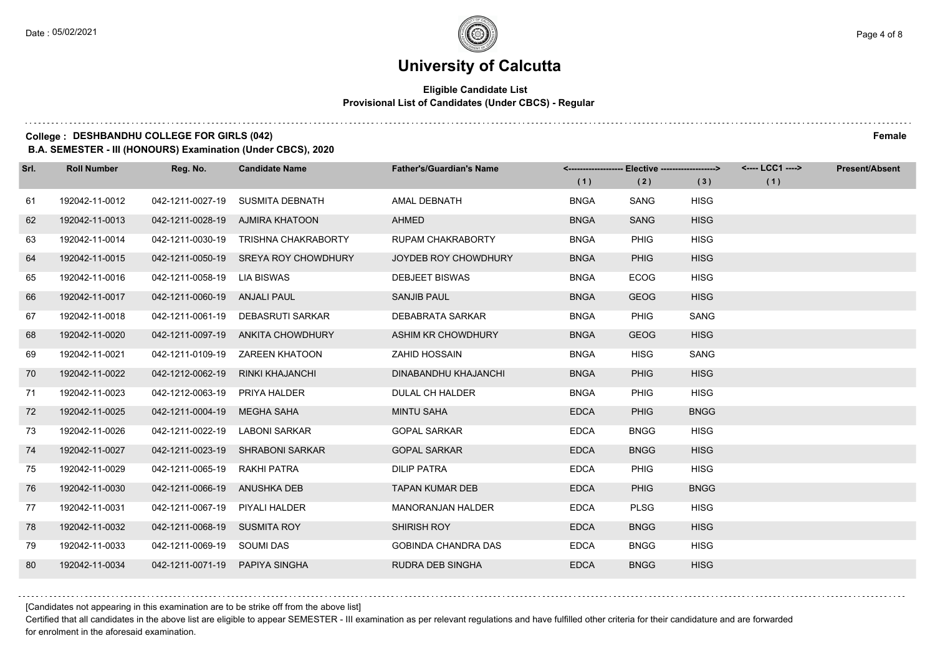#### **Eligible Candidate List Provisional List of Candidates (Under CBCS) - Regular**

### **College : DESHBANDHU COLLEGE FOR GIRLS (042) Female**

**B.A. SEMESTER - III (HONOURS) Examination (Under CBCS), 2020**

| Srl. | <b>Roll Number</b> | Reg. No.                       | <b>Candidate Name</b>                | <b>Father's/Guardian's Name</b> |             | <------------------- Elective -------------------> |             | <---- LCC1 ----> | <b>Present/Absent</b> |
|------|--------------------|--------------------------------|--------------------------------------|---------------------------------|-------------|----------------------------------------------------|-------------|------------------|-----------------------|
|      |                    |                                |                                      |                                 | (1)         | (2)                                                | (3)         | (1)              |                       |
| 61   | 192042-11-0012     | 042-1211-0027-19               | SUSMITA DEBNATH                      | AMAL DEBNATH                    | <b>BNGA</b> | SANG                                               | <b>HISG</b> |                  |                       |
| 62   | 192042-11-0013     |                                | 042-1211-0028-19 AJMIRA KHATOON      | <b>AHMED</b>                    | <b>BNGA</b> | <b>SANG</b>                                        | <b>HISG</b> |                  |                       |
| 63   | 192042-11-0014     |                                | 042-1211-0030-19 TRISHNA CHAKRABORTY | <b>RUPAM CHAKRABORTY</b>        | <b>BNGA</b> | <b>PHIG</b>                                        | <b>HISG</b> |                  |                       |
| 64   | 192042-11-0015     |                                | 042-1211-0050-19 SREYA ROY CHOWDHURY | JOYDEB ROY CHOWDHURY            | <b>BNGA</b> | <b>PHIG</b>                                        | <b>HISG</b> |                  |                       |
| 65   | 192042-11-0016     | 042-1211-0058-19 LIA BISWAS    |                                      | <b>DEBJEET BISWAS</b>           | <b>BNGA</b> | <b>ECOG</b>                                        | <b>HISG</b> |                  |                       |
| 66   | 192042-11-0017     | 042-1211-0060-19 ANJALI PAUL   |                                      | <b>SANJIB PAUL</b>              | <b>BNGA</b> | <b>GEOG</b>                                        | <b>HISG</b> |                  |                       |
| 67   | 192042-11-0018     |                                | 042-1211-0061-19 DEBASRUTI SARKAR    | DEBABRATA SARKAR                | <b>BNGA</b> | <b>PHIG</b>                                        | SANG        |                  |                       |
| 68   | 192042-11-0020     |                                | 042-1211-0097-19 ANKITA CHOWDHURY    | ASHIM KR CHOWDHURY              | <b>BNGA</b> | <b>GEOG</b>                                        | <b>HISG</b> |                  |                       |
| 69   | 192042-11-0021     |                                | 042-1211-0109-19 ZAREEN KHATOON      | <b>ZAHID HOSSAIN</b>            | <b>BNGA</b> | <b>HISG</b>                                        | SANG        |                  |                       |
| 70   | 192042-11-0022     | 042-1212-0062-19               | RINKI KHAJANCHI                      | DINABANDHU KHAJANCHI            | <b>BNGA</b> | <b>PHIG</b>                                        | <b>HISG</b> |                  |                       |
| 71   | 192042-11-0023     | 042-1212-0063-19 PRIYA HALDER  |                                      | <b>DULAL CH HALDER</b>          | <b>BNGA</b> | <b>PHIG</b>                                        | <b>HISG</b> |                  |                       |
| 72   | 192042-11-0025     | 042-1211-0004-19 MEGHA SAHA    |                                      | <b>MINTU SAHA</b>               | <b>EDCA</b> | <b>PHIG</b>                                        | <b>BNGG</b> |                  |                       |
| 73   | 192042-11-0026     | 042-1211-0022-19               | LABONI SARKAR                        | <b>GOPAL SARKAR</b>             | <b>EDCA</b> | <b>BNGG</b>                                        | <b>HISG</b> |                  |                       |
| 74   | 192042-11-0027     |                                | 042-1211-0023-19 SHRABONI SARKAR     | <b>GOPAL SARKAR</b>             | <b>EDCA</b> | <b>BNGG</b>                                        | <b>HISG</b> |                  |                       |
| 75   | 192042-11-0029     | 042-1211-0065-19               | RAKHI PATRA                          | <b>DILIP PATRA</b>              | <b>EDCA</b> | <b>PHIG</b>                                        | <b>HISG</b> |                  |                       |
| 76   | 192042-11-0030     | 042-1211-0066-19 ANUSHKA DEB   |                                      | <b>TAPAN KUMAR DEB</b>          | <b>EDCA</b> | <b>PHIG</b>                                        | <b>BNGG</b> |                  |                       |
| 77   | 192042-11-0031     | 042-1211-0067-19               | PIYALI HALDER                        | <b>MANORANJAN HALDER</b>        | <b>EDCA</b> | <b>PLSG</b>                                        | <b>HISG</b> |                  |                       |
| 78   | 192042-11-0032     | 042-1211-0068-19 SUSMITA ROY   |                                      | SHIRISH ROY                     | <b>EDCA</b> | <b>BNGG</b>                                        | <b>HISG</b> |                  |                       |
| 79   | 192042-11-0033     | 042-1211-0069-19 SOUMI DAS     |                                      | <b>GOBINDA CHANDRA DAS</b>      | <b>EDCA</b> | <b>BNGG</b>                                        | <b>HISG</b> |                  |                       |
| 80   | 192042-11-0034     | 042-1211-0071-19 PAPIYA SINGHA |                                      | RUDRA DEB SINGHA                | <b>EDCA</b> | <b>BNGG</b>                                        | <b>HISG</b> |                  |                       |

[Candidates not appearing in this examination are to be strike off from the above list]

Certified that all candidates in the above list are eligible to appear SEMESTER - III examination as per relevant regulations and have fulfilled other criteria for their candidature and are forwarded for enrolment in the aforesaid examination.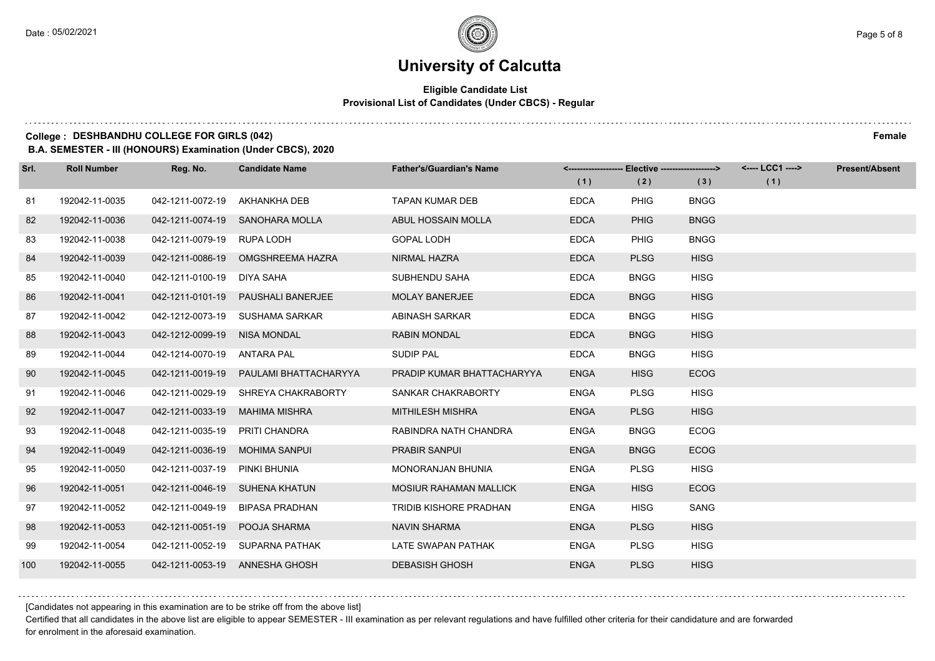#### **Eligible Candidate List Provisional List of Candidates (Under CBCS) - Regular**

### **College : DESHBANDHU COLLEGE FOR GIRLS (042) Female**

**B.A. SEMESTER - III (HONOURS) Examination (Under CBCS), 2020**

| Srl. | <b>Roll Number</b> | Reg. No.                     | <b>Candidate Name</b>               | <b>Father's/Guardian's Name</b> |             | <------------------- Elective ------------------> |             | <---- LCC1 ----> | <b>Present/Absent</b> |
|------|--------------------|------------------------------|-------------------------------------|---------------------------------|-------------|---------------------------------------------------|-------------|------------------|-----------------------|
|      |                    |                              |                                     |                                 | (1)         | (2)                                               | (3)         | (1)              |                       |
| 81   | 192042-11-0035     | 042-1211-0072-19             | AKHANKHA DEB                        | <b>TAPAN KUMAR DEB</b>          | <b>EDCA</b> | <b>PHIG</b>                                       | <b>BNGG</b> |                  |                       |
| 82   | 192042-11-0036     |                              | 042-1211-0074-19 SANOHARA MOLLA     | ABUL HOSSAIN MOLLA              | <b>EDCA</b> | <b>PHIG</b>                                       | <b>BNGG</b> |                  |                       |
| 83   | 192042-11-0038     | 042-1211-0079-19 RUPA LODH   |                                     | <b>GOPAL LODH</b>               | <b>EDCA</b> | <b>PHIG</b>                                       | <b>BNGG</b> |                  |                       |
| 84   | 192042-11-0039     |                              | 042-1211-0086-19 OMGSHREEMA HAZRA   | NIRMAL HAZRA                    | <b>EDCA</b> | <b>PLSG</b>                                       | <b>HISG</b> |                  |                       |
| 85   | 192042-11-0040     | 042-1211-0100-19             | DIYA SAHA                           | SUBHENDU SAHA                   | <b>EDCA</b> | <b>BNGG</b>                                       | <b>HISG</b> |                  |                       |
| 86   | 192042-11-0041     | 042-1211-0101-19             | <b>PAUSHALI BANERJEE</b>            | <b>MOLAY BANERJEE</b>           | <b>EDCA</b> | <b>BNGG</b>                                       | <b>HISG</b> |                  |                       |
| 87   | 192042-11-0042     |                              | 042-1212-0073-19 SUSHAMA SARKAR     | ABINASH SARKAR                  | <b>EDCA</b> | <b>BNGG</b>                                       | <b>HISG</b> |                  |                       |
| 88   | 192042-11-0043     | 042-1212-0099-19 NISA MONDAL |                                     | <b>RABIN MONDAL</b>             | <b>EDCA</b> | <b>BNGG</b>                                       | <b>HISG</b> |                  |                       |
| 89   | 192042-11-0044     | 042-1214-0070-19             | ANTARA PAL                          | <b>SUDIP PAL</b>                | <b>EDCA</b> | <b>BNGG</b>                                       | <b>HISG</b> |                  |                       |
| 90   | 192042-11-0045     | 042-1211-0019-19             | PAULAMI BHATTACHARYYA               | PRADIP KUMAR BHATTACHARYYA      | <b>ENGA</b> | <b>HISG</b>                                       | <b>ECOG</b> |                  |                       |
| 91   | 192042-11-0046     |                              | 042-1211-0029-19 SHREYA CHAKRABORTY | SANKAR CHAKRABORTY              | <b>ENGA</b> | <b>PLSG</b>                                       | <b>HISG</b> |                  |                       |
| 92   | 192042-11-0047     | 042-1211-0033-19             | <b>MAHIMA MISHRA</b>                | <b>MITHILESH MISHRA</b>         | <b>ENGA</b> | <b>PLSG</b>                                       | <b>HISG</b> |                  |                       |
| 93   | 192042-11-0048     | 042-1211-0035-19             | PRITI CHANDRA                       | RABINDRA NATH CHANDRA           | <b>ENGA</b> | <b>BNGG</b>                                       | <b>ECOG</b> |                  |                       |
| 94   | 192042-11-0049     | 042-1211-0036-19             | <b>MOHIMA SANPUI</b>                | <b>PRABIR SANPUI</b>            | <b>ENGA</b> | <b>BNGG</b>                                       | <b>ECOG</b> |                  |                       |
| 95   | 192042-11-0050     | 042-1211-0037-19             | PINKI BHUNIA                        | MONORANJAN BHUNIA               | <b>ENGA</b> | <b>PLSG</b>                                       | <b>HISG</b> |                  |                       |
| 96   | 192042-11-0051     |                              | 042-1211-0046-19 SUHENA KHATUN      | <b>MOSIUR RAHAMAN MALLICK</b>   | <b>ENGA</b> | <b>HISG</b>                                       | <b>ECOG</b> |                  |                       |
| 97   | 192042-11-0052     | 042-1211-0049-19             | <b>BIPASA PRADHAN</b>               | TRIDIB KISHORE PRADHAN          | <b>ENGA</b> | <b>HISG</b>                                       | SANG        |                  |                       |
| 98   | 192042-11-0053     | 042-1211-0051-19             | POOJA SHARMA                        | <b>NAVIN SHARMA</b>             | <b>ENGA</b> | <b>PLSG</b>                                       | <b>HISG</b> |                  |                       |
| 99   | 192042-11-0054     |                              | 042-1211-0052-19 SUPARNA PATHAK     | LATE SWAPAN PATHAK              | <b>ENGA</b> | <b>PLSG</b>                                       | <b>HISG</b> |                  |                       |
| 100  | 192042-11-0055     |                              | 042-1211-0053-19 ANNESHA GHOSH      | <b>DEBASISH GHOSH</b>           | <b>ENGA</b> | <b>PLSG</b>                                       | <b>HISG</b> |                  |                       |

[Candidates not appearing in this examination are to be strike off from the above list]

Certified that all candidates in the above list are eligible to appear SEMESTER - III examination as per relevant regulations and have fulfilled other criteria for their candidature and are forwarded for enrolment in the aforesaid examination.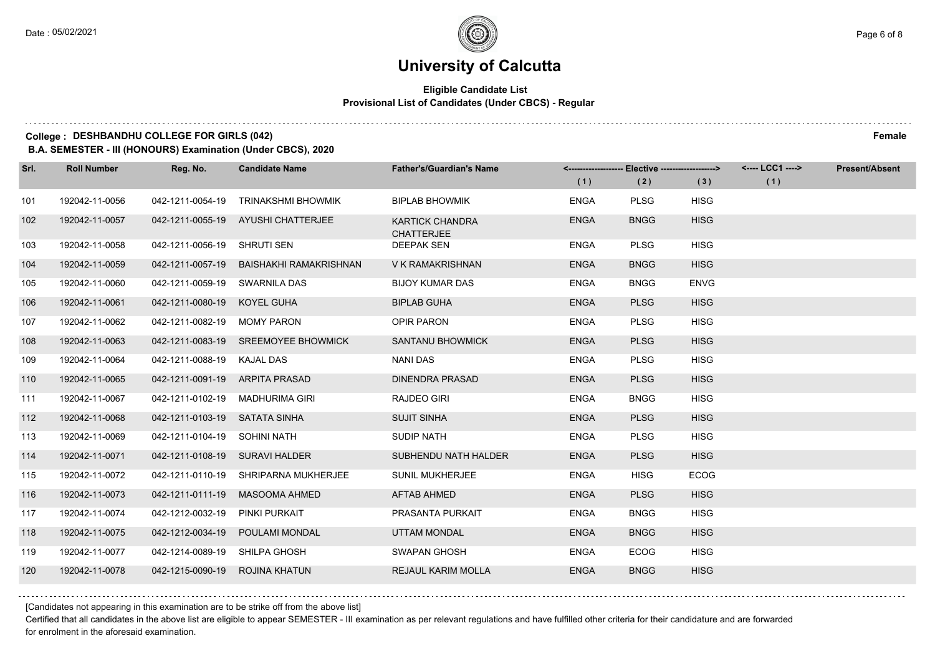#### **Eligible Candidate List Provisional List of Candidates (Under CBCS) - Regular**

#### **College : DESHBANDHU COLLEGE FOR GIRLS (042) Female**

**B.A. SEMESTER - III (HONOURS) Examination (Under CBCS), 2020**

| Srl. | <b>Roll Number</b> | Reg. No.                       | <b>Candidate Name</b>                   | <b>Father's/Guardian's Name</b>             |             | <-------------------- Elective -------------------> |             | <---- LCC1 ----> | <b>Present/Absent</b> |
|------|--------------------|--------------------------------|-----------------------------------------|---------------------------------------------|-------------|-----------------------------------------------------|-------------|------------------|-----------------------|
|      |                    |                                |                                         |                                             | (1)         | (2)                                                 | (3)         | (1)              |                       |
| 101  | 192042-11-0056     | 042-1211-0054-19               | <b>TRINAKSHMI BHOWMIK</b>               | <b>BIPLAB BHOWMIK</b>                       | <b>ENGA</b> | <b>PLSG</b>                                         | <b>HISG</b> |                  |                       |
| 102  | 192042-11-0057     |                                | 042-1211-0055-19 AYUSHI CHATTERJEE      | <b>KARTICK CHANDRA</b><br><b>CHATTERJEE</b> | <b>ENGA</b> | <b>BNGG</b>                                         | <b>HISG</b> |                  |                       |
| 103  | 192042-11-0058     | 042-1211-0056-19 SHRUTI SEN    |                                         | <b>DEEPAK SEN</b>                           | <b>ENGA</b> | <b>PLSG</b>                                         | <b>HISG</b> |                  |                       |
| 104  | 192042-11-0059     |                                | 042-1211-0057-19 BAISHAKHI RAMAKRISHNAN | V K RAMAKRISHNAN                            | <b>ENGA</b> | <b>BNGG</b>                                         | <b>HISG</b> |                  |                       |
| 105  | 192042-11-0060     | 042-1211-0059-19 SWARNILA DAS  |                                         | <b>BIJOY KUMAR DAS</b>                      | <b>ENGA</b> | <b>BNGG</b>                                         | <b>ENVG</b> |                  |                       |
| 106  | 192042-11-0061     | 042-1211-0080-19 KOYEL GUHA    |                                         | <b>BIPLAB GUHA</b>                          | <b>ENGA</b> | <b>PLSG</b>                                         | <b>HISG</b> |                  |                       |
| 107  | 192042-11-0062     | 042-1211-0082-19               | <b>MOMY PARON</b>                       | <b>OPIR PARON</b>                           | <b>ENGA</b> | <b>PLSG</b>                                         | <b>HISG</b> |                  |                       |
| 108  | 192042-11-0063     |                                | 042-1211-0083-19 SREEMOYEE BHOWMICK     | <b>SANTANU BHOWMICK</b>                     | <b>ENGA</b> | <b>PLSG</b>                                         | <b>HISG</b> |                  |                       |
| 109  | 192042-11-0064     | 042-1211-0088-19 KAJAL DAS     |                                         | NANI DAS                                    | <b>ENGA</b> | <b>PLSG</b>                                         | <b>HISG</b> |                  |                       |
| 110  | 192042-11-0065     | 042-1211-0091-19               | ARPITA PRASAD                           | DINENDRA PRASAD                             | <b>ENGA</b> | <b>PLSG</b>                                         | <b>HISG</b> |                  |                       |
| 111  | 192042-11-0067     |                                | 042-1211-0102-19 MADHURIMA GIRI         | <b>RAJDEO GIRI</b>                          | <b>ENGA</b> | <b>BNGG</b>                                         | <b>HISG</b> |                  |                       |
| 112  | 192042-11-0068     | 042-1211-0103-19 SATATA SINHA  |                                         | <b>SUJIT SINHA</b>                          | <b>ENGA</b> | <b>PLSG</b>                                         | <b>HISG</b> |                  |                       |
| 113  | 192042-11-0069     | 042-1211-0104-19 SOHINI NATH   |                                         | <b>SUDIP NATH</b>                           | <b>ENGA</b> | <b>PLSG</b>                                         | <b>HISG</b> |                  |                       |
| 114  | 192042-11-0071     | 042-1211-0108-19               | SURAVI HALDER                           | SUBHENDU NATH HALDER                        | <b>ENGA</b> | <b>PLSG</b>                                         | <b>HISG</b> |                  |                       |
| 115  | 192042-11-0072     | 042-1211-0110-19               | <b>SHRIPARNA MUKHERJEE</b>              | <b>SUNIL MUKHERJEE</b>                      | <b>ENGA</b> | <b>HISG</b>                                         | <b>ECOG</b> |                  |                       |
| 116  | 192042-11-0073     |                                | 042-1211-0111-19 MASOOMA AHMED          | AFTAB AHMED                                 | <b>ENGA</b> | <b>PLSG</b>                                         | <b>HISG</b> |                  |                       |
| 117  | 192042-11-0074     | 042-1212-0032-19 PINKI PURKAIT |                                         | PRASANTA PURKAIT                            | <b>ENGA</b> | <b>BNGG</b>                                         | <b>HISG</b> |                  |                       |
| 118  | 192042-11-0075     | 042-1212-0034-19               | POULAMI MONDAL                          | UTTAM MONDAL                                | <b>ENGA</b> | <b>BNGG</b>                                         | <b>HISG</b> |                  |                       |
| 119  | 192042-11-0077     | 042-1214-0089-19 SHILPA GHOSH  |                                         | <b>SWAPAN GHOSH</b>                         | <b>ENGA</b> | <b>ECOG</b>                                         | <b>HISG</b> |                  |                       |
| 120  | 192042-11-0078     | 042-1215-0090-19 ROJINA KHATUN |                                         | <b>REJAUL KARIM MOLLA</b>                   | <b>ENGA</b> | <b>BNGG</b>                                         | <b>HISG</b> |                  |                       |

[Candidates not appearing in this examination are to be strike off from the above list]

Certified that all candidates in the above list are eligible to appear SEMESTER - III examination as per relevant regulations and have fulfilled other criteria for their candidature and are forwarded for enrolment in the aforesaid examination.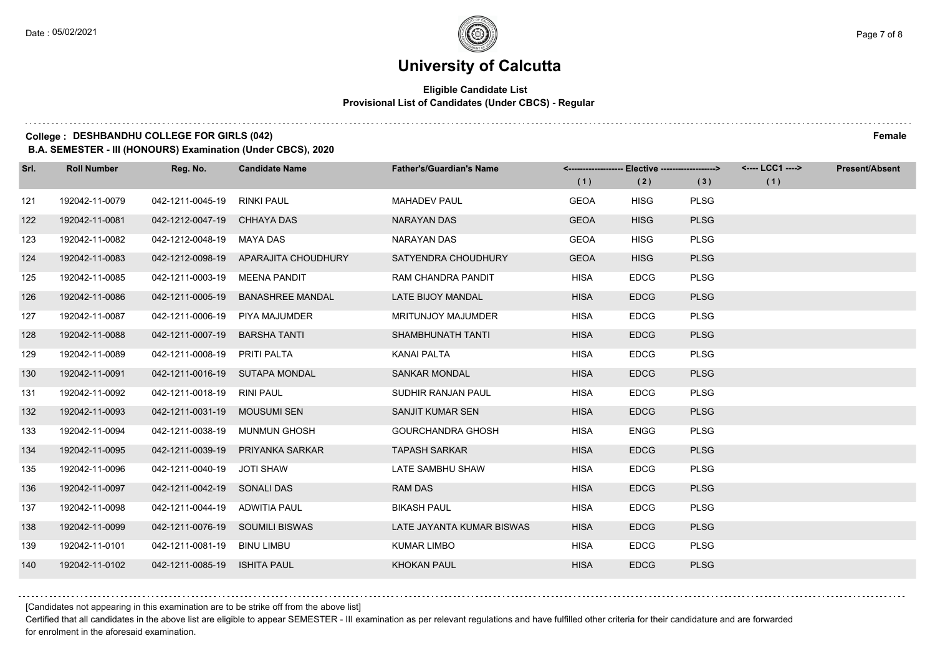$1.111$ 

# **University of Calcutta**

#### **Eligible Candidate List Provisional List of Candidates (Under CBCS) - Regular**

### **College : DESHBANDHU COLLEGE FOR GIRLS (042) Female**

**B.A. SEMESTER - III (HONOURS) Examination (Under CBCS), 2020**

| Srl. | <b>Roll Number</b> | Reg. No.                        | <b>Candidate Name</b>                | <b>Father's/Guardian's Name</b> |             | <------------------- Elective ------------------> |             | <---- LCC1 ----> | <b>Present/Absent</b> |
|------|--------------------|---------------------------------|--------------------------------------|---------------------------------|-------------|---------------------------------------------------|-------------|------------------|-----------------------|
|      |                    |                                 |                                      |                                 | (1)         | (2)                                               | (3)         | (1)              |                       |
| 121  | 192042-11-0079     | 042-1211-0045-19                | RINKI PAUL                           | <b>MAHADEV PAUL</b>             | <b>GEOA</b> | <b>HISG</b>                                       | <b>PLSG</b> |                  |                       |
| 122  | 192042-11-0081     | 042-1212-0047-19 CHHAYA DAS     |                                      | <b>NARAYAN DAS</b>              | <b>GEOA</b> | <b>HISG</b>                                       | <b>PLSG</b> |                  |                       |
| 123  | 192042-11-0082     | 042-1212-0048-19 MAYA DAS       |                                      | NARAYAN DAS                     | <b>GEOA</b> | <b>HISG</b>                                       | <b>PLSG</b> |                  |                       |
| 124  | 192042-11-0083     |                                 | 042-1212-0098-19 APARAJITA CHOUDHURY | SATYENDRA CHOUDHURY             | <b>GEOA</b> | <b>HISG</b>                                       | <b>PLSG</b> |                  |                       |
| 125  | 192042-11-0085     | 042-1211-0003-19                | <b>MEENA PANDIT</b>                  | <b>RAM CHANDRA PANDIT</b>       | <b>HISA</b> | <b>EDCG</b>                                       | <b>PLSG</b> |                  |                       |
| 126  | 192042-11-0086     | 042-1211-0005-19                | <b>BANASHREE MANDAL</b>              | LATE BIJOY MANDAL               | <b>HISA</b> | <b>EDCG</b>                                       | <b>PLSG</b> |                  |                       |
| 127  | 192042-11-0087     | 042-1211-0006-19 PIYA MAJUMDER  |                                      | <b>MRITUNJOY MAJUMDER</b>       | <b>HISA</b> | <b>EDCG</b>                                       | <b>PLSG</b> |                  |                       |
| 128  | 192042-11-0088     | 042-1211-0007-19                | <b>BARSHA TANTI</b>                  | SHAMBHUNATH TANTI               | <b>HISA</b> | <b>EDCG</b>                                       | <b>PLSG</b> |                  |                       |
| 129  | 192042-11-0089     | 042-1211-0008-19                | <b>PRITI PALTA</b>                   | <b>KANAI PALTA</b>              | <b>HISA</b> | <b>EDCG</b>                                       | <b>PLSG</b> |                  |                       |
| 130  | 192042-11-0091     | 042-1211-0016-19 SUTAPA MONDAL  |                                      | <b>SANKAR MONDAL</b>            | <b>HISA</b> | <b>EDCG</b>                                       | <b>PLSG</b> |                  |                       |
| 131  | 192042-11-0092     | 042-1211-0018-19 RINI PAUL      |                                      | SUDHIR RANJAN PAUL              | <b>HISA</b> | <b>EDCG</b>                                       | <b>PLSG</b> |                  |                       |
| 132  | 192042-11-0093     | 042-1211-0031-19 MOUSUMI SEN    |                                      | SANJIT KUMAR SEN                | <b>HISA</b> | <b>EDCG</b>                                       | <b>PLSG</b> |                  |                       |
| 133  | 192042-11-0094     | 042-1211-0038-19                | <b>MUNMUN GHOSH</b>                  | <b>GOURCHANDRA GHOSH</b>        | <b>HISA</b> | <b>ENGG</b>                                       | <b>PLSG</b> |                  |                       |
| 134  | 192042-11-0095     | 042-1211-0039-19                | PRIYANKA SARKAR                      | <b>TAPASH SARKAR</b>            | <b>HISA</b> | <b>EDCG</b>                                       | <b>PLSG</b> |                  |                       |
| 135  | 192042-11-0096     | 042-1211-0040-19                | JOTI SHAW                            | LATE SAMBHU SHAW                | <b>HISA</b> | <b>EDCG</b>                                       | <b>PLSG</b> |                  |                       |
| 136  | 192042-11-0097     | 042-1211-0042-19 SONALI DAS     |                                      | <b>RAM DAS</b>                  | <b>HISA</b> | <b>EDCG</b>                                       | <b>PLSG</b> |                  |                       |
| 137  | 192042-11-0098     | 042-1211-0044-19                | ADWITIA PAUL                         | <b>BIKASH PAUL</b>              | <b>HISA</b> | <b>EDCG</b>                                       | <b>PLSG</b> |                  |                       |
| 138  | 192042-11-0099     | 042-1211-0076-19 SOUMILI BISWAS |                                      | LATE JAYANTA KUMAR BISWAS       | <b>HISA</b> | <b>EDCG</b>                                       | <b>PLSG</b> |                  |                       |
| 139  | 192042-11-0101     | 042-1211-0081-19 BINU LIMBU     |                                      | <b>KUMAR LIMBO</b>              | <b>HISA</b> | <b>EDCG</b>                                       | <b>PLSG</b> |                  |                       |
| 140  | 192042-11-0102     | 042-1211-0085-19                | <b>ISHITA PAUL</b>                   | <b>KHOKAN PAUL</b>              | <b>HISA</b> | <b>EDCG</b>                                       | <b>PLSG</b> |                  |                       |

[Candidates not appearing in this examination are to be strike off from the above list]

Certified that all candidates in the above list are eligible to appear SEMESTER - III examination as per relevant regulations and have fulfilled other criteria for their candidature and are forwarded for enrolment in the aforesaid examination.